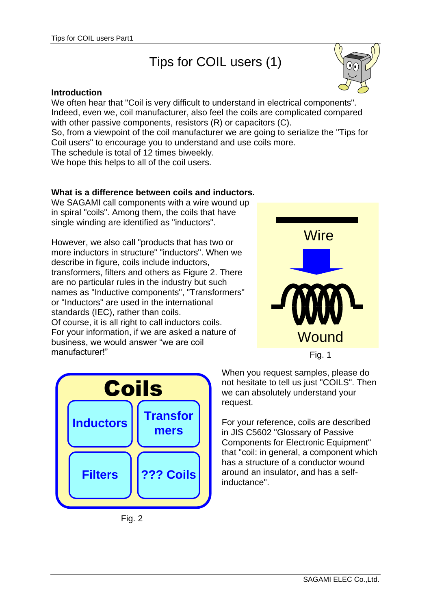## Tips for COIL users (1)



## **Introduction**

We often hear that "Coil is very difficult to understand in electrical components". Indeed, even we, coil manufacturer, also feel the coils are complicated compared with other passive components, resistors (R) or capacitors (C).

So, from a viewpoint of the coil manufacturer we are going to serialize the "Tips for Coil users" to encourage you to understand and use coils more.

The schedule is total of 12 times biweekly.

We hope this helps to all of the coil users.

## **What is a difference between coils and inductors.**

We SAGAMI call components with a wire wound up in spiral "coils". Among them, the coils that have single winding are identified as "inductors".

However, we also call "products that has two or more inductors in structure" "inductors". When we describe in figure, coils include inductors, transformers, filters and others as Figure 2. There are no particular rules in the industry but such names as "Inductive components", "Transformers" or "Inductors" are used in the international standards (IEC), rather than coils. Of course, it is all right to call inductors coils. For your information, if we are asked a nature of business, we would answer "we are coil manufacturer!"





Fig. 2

When you request samples, please do not hesitate to tell us just "COILS". Then we can absolutely understand your request.

For your reference, coils are described in JIS C5602 "Glossary of Passive Components for Electronic Equipment" that "coil: in general, a component which has a structure of a conductor wound around an insulator, and has a selfinductance".